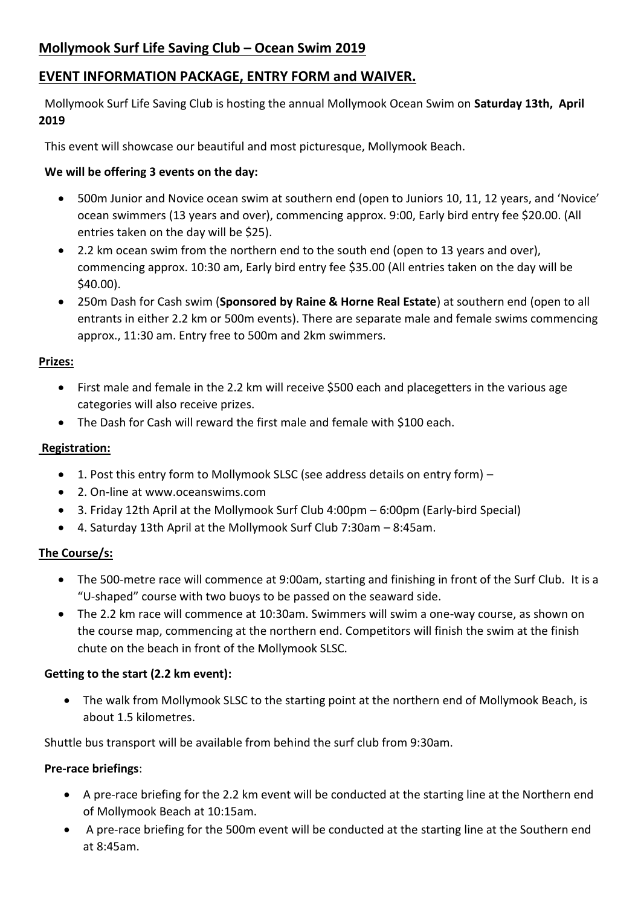# **EVENT INFORMATION PACKAGE, ENTRY FORM and WAIVER.**

 Mollymook Surf Life Saving Club is hosting the annual Mollymook Ocean Swim on **Saturday 13th, April 2019**

This event will showcase our beautiful and most picturesque, Mollymook Beach.

## **We will be offering 3 events on the day:**

- 500m Junior and Novice ocean swim at southern end (open to Juniors 10, 11, 12 years, and 'Novice' ocean swimmers (13 years and over), commencing approx. 9:00, Early bird entry fee \$20.00. (All entries taken on the day will be \$25).
- 2.2 km ocean swim from the northern end to the south end (open to 13 years and over), commencing approx. 10:30 am, Early bird entry fee \$35.00 (All entries taken on the day will be \$40.00).
- 250m Dash for Cash swim (**Sponsored by Raine & Horne Real Estate**) at southern end (open to all entrants in either 2.2 km or 500m events). There are separate male and female swims commencing approx., 11:30 am. Entry free to 500m and 2km swimmers.

### **Prizes:**

- First male and female in the 2.2 km will receive \$500 each and placegetters in the various age categories will also receive prizes.
- The Dash for Cash will reward the first male and female with \$100 each.

## **Registration:**

- 1. Post this entry form to Mollymook SLSC (see address details on entry form) –
- 2. On-line at www.oceanswims.com
- 3. Friday 12th April at the Mollymook Surf Club 4:00pm 6:00pm (Early-bird Special)
- 4. Saturday 13th April at the Mollymook Surf Club 7:30am 8:45am.

## **The Course/s:**

- The 500-metre race will commence at 9:00am, starting and finishing in front of the Surf Club. It is a "U-shaped" course with two buoys to be passed on the seaward side.
- The 2.2 km race will commence at 10:30am. Swimmers will swim a one-way course, as shown on the course map, commencing at the northern end. Competitors will finish the swim at the finish chute on the beach in front of the Mollymook SLSC.

### **Getting to the start (2.2 km event):**

• The walk from Mollymook SLSC to the starting point at the northern end of Mollymook Beach, is about 1.5 kilometres.

Shuttle bus transport will be available from behind the surf club from 9:30am.

### **Pre-race briefings**:

- A pre-race briefing for the 2.2 km event will be conducted at the starting line at the Northern end of Mollymook Beach at 10:15am.
- A pre-race briefing for the 500m event will be conducted at the starting line at the Southern end at  $8.45$ am.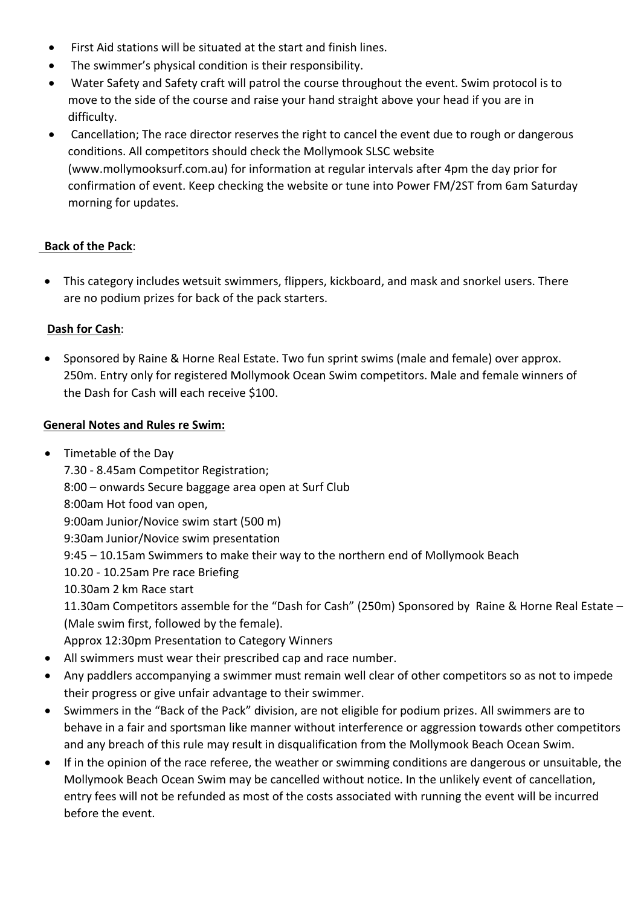- First Aid stations will be situated at the start and finish lines.
- The swimmer's physical condition is their responsibility.
- Water Safety and Safety craft will patrol the course throughout the event. Swim protocol is to move to the side of the course and raise your hand straight above your head if you are in difficulty.
- Cancellation; The race director reserves the right to cancel the event due to rough or dangerous conditions. All competitors should check the Mollymook SLSC website (www.mollymooksurf.com.au) for information at regular intervals after 4pm the day prior for confirmation of event. Keep checking the website or tune into Power FM/2ST from 6am Saturday morning for updates.

# **Back of the Pack**:

• This category includes wetsuit swimmers, flippers, kickboard, and mask and snorkel users. There are no podium prizes for back of the pack starters.

### **Dash for Cash**:

• Sponsored by Raine & Horne Real Estate. Two fun sprint swims (male and female) over approx. 250m. Entry only for registered Mollymook Ocean Swim competitors. Male and female winners of the Dash for Cash will each receive \$100.

### **General Notes and Rules re Swim:**

- Timetable of the Day 7.30 - 8.45am Competitor Registration; 8:00 – onwards Secure baggage area open at Surf Club 8:00am Hot food van open, 9:00am Junior/Novice swim start (500 m) 9:30am Junior/Novice swim presentation 9:45 – 10.15am Swimmers to make their way to the northern end of Mollymook Beach 10.20 - 10.25am Pre race Briefing 10.30am 2 km Race start 11.30am Competitors assemble for the "Dash for Cash" (250m) Sponsored by Raine & Horne Real Estate – (Male swim first, followed by the female). Approx 12:30pm Presentation to Category Winners • All swimmers must wear their prescribed cap and race number.
- Any paddlers accompanying a swimmer must remain well clear of other competitors so as not to impede their progress or give unfair advantage to their swimmer.
- Swimmers in the "Back of the Pack" division, are not eligible for podium prizes. All swimmers are to behave in a fair and sportsman like manner without interference or aggression towards other competitors and any breach of this rule may result in disqualification from the Mollymook Beach Ocean Swim.
- If in the opinion of the race referee, the weather or swimming conditions are dangerous or unsuitable, the Mollymook Beach Ocean Swim may be cancelled without notice. In the unlikely event of cancellation, entry fees will not be refunded as most of the costs associated with running the event will be incurred before the event.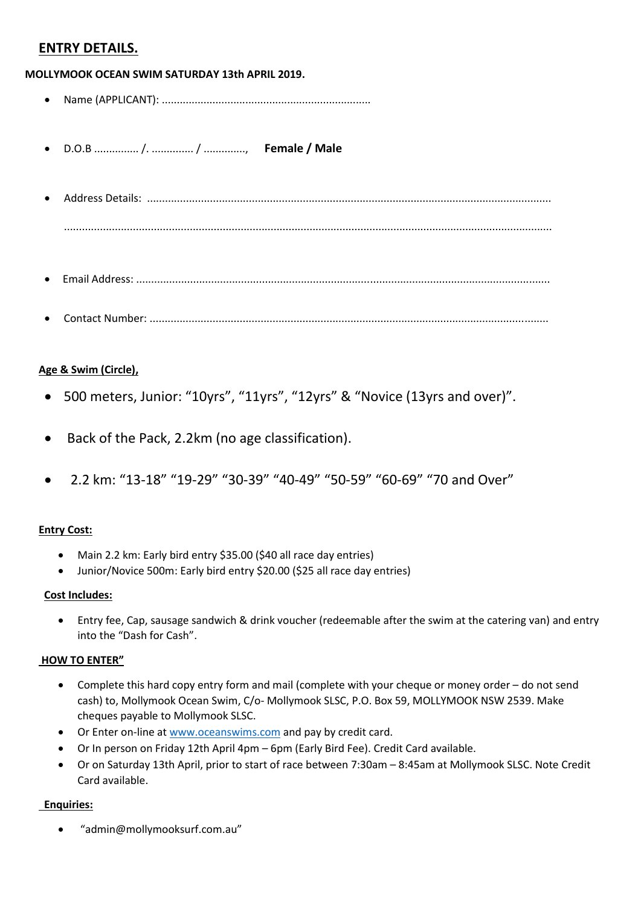# **ENTRY DETAILS.**

**MOLLYMOOK OCEAN SWIM SATURDAY 13th APRIL 2019.**

- Name (APPLICANT): ......................................................................
- D.O.B ............... /. .............. / .............., **Female / Male**
- Address Details: ....................................................................................................................................... ...................................................................................................................................................................
- Email Address: ..........................................................................................................................................
- Contact Number: .....................................................................................................................................

#### **Age & Swim (Circle),**

- 500 meters, Junior: "10yrs", "11yrs", "12yrs" & "Novice (13yrs and over)".
- Back of the Pack, 2.2km (no age classification).
- 2.2 km: "13-18" "19-29" "30-39" "40-49" "50-59" "60-69" "70 and Over"

#### **Entry Cost:**

- Main 2.2 km: Early bird entry \$35.00 (\$40 all race day entries)
- Junior/Novice 500m: Early bird entry \$20.00 (\$25 all race day entries)

#### **Cost Includes:**

• Entry fee, Cap, sausage sandwich & drink voucher (redeemable after the swim at the catering van) and entry into the "Dash for Cash".

#### **HOW TO ENTER"**

- Complete this hard copy entry form and mail (complete with your cheque or money order do not send cash) to, Mollymook Ocean Swim, C/o- Mollymook SLSC, P.O. Box 59, MOLLYMOOK NSW 2539. Make cheques payable to Mollymook SLSC.
- Or Enter on-line at [www.oceanswims.com](http://www.oceanswims.com/) and pay by credit card.
- Or In person on Friday 12th April 4pm 6pm (Early Bird Fee). Credit Card available.
- Or on Saturday 13th April, prior to start of race between 7:30am 8:45am at Mollymook SLSC. Note Credit Card available.

#### **Enquiries:**

• "admin@mollymooksurf.com.au"